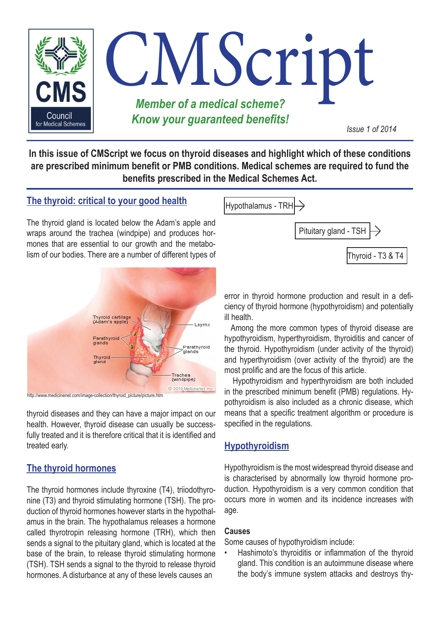

**In this issue of CMScript we focus on thyroid diseases and highlight which of these conditions are prescribed minimum benefit or PMB conditions. Medical schemes are required to fund the benefits prescribed in the Medical Schemes Act.**

## **The thyroid: critical to your good health**

The thyroid gland is located below the Adam's apple and wraps around the trachea (windpipe) and produces hormones that are essential to our growth and the metabolism of our bodies. There are a number of different types of



http://www.medicinenet.com/image-collection/thyroid\_picture/picture.htm

thyroid diseases and they can have a major impact on our health. However, thyroid disease can usually be successfully treated and it is therefore critical that it is identified and treated early.

## **The thyroid hormones**

The thyroid hormones include thyroxine (T4), triiodothyronine (T3) and thyroid stimulating hormone (TSH). The production of thyroid hormones however starts in the hypothalamus in the brain. The hypothalamus releases a hormone called thyrotropin releasing hormone (TRH), which then sends a signal to the pituitary gland, which is located at the base of the brain, to release thyroid stimulating hormone (TSH). TSH sends a signal to the thyroid to release thyroid hormones. A disturbance at any of these levels causes an



error in thyroid hormone production and result in a deficiency of thyroid hormone (hypothyroidism) and potentially ill health.

Among the more common types of thyroid disease are hypothyroidism, hyperthyroidism, thyroiditis and cancer of the thyroid. Hypothyroidism (under activity of the thyroid) and hyperthyroidism (over activity of the thyroid) are the most prolific and are the focus of this article.

Hypothyroidism and hyperthyroidism are both included in the prescribed minimum benefit (PMB) regulations. Hypothyroidism is also included as a chronic disease, which means that a specific treatment algorithm or procedure is specified in the regulations.

## **Hypothyroidism**

Hypothyroidism is the most widespread thyroid disease and is characterised by abnormally low thyroid hormone production. Hypothyroidism is a very common condition that occurs more in women and its incidence increases with age.

#### **Causes**

Some causes of hypothyroidism include:

Hashimoto's thyroiditis or inflammation of the thyroid gland. This condition is an autoimmune disease where the body's immune system attacks and destroys thy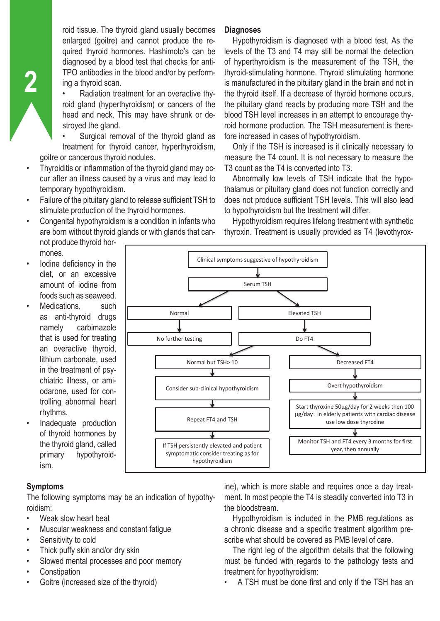roid tissue. The thyroid gland usually becomes enlarged (goitre) and cannot produce the required thyroid hormones. Hashimoto's can be diagnosed by a blood test that checks for anti-TPO antibodies in the blood and/or by performing a thyroid scan.

• Radiation treatment for an overactive thyroid gland (hyperthyroidism) or cancers of the head and neck. This may have shrunk or destroyed the gland.

Surgical removal of the thyroid gland as treatment for thyroid cancer, hyperthyroidism, goitre or cancerous thyroid nodules.

- Thyroiditis or inflammation of the thyroid gland may occur after an illness caused by a virus and may lead to temporary hypothyroidism.
- Failure of the pituitary gland to release sufficient TSH to stimulate production of the thyroid hormones.
- Congenital hypothyroidism is a condition in infants who are born without thyroid glands or with glands that cannot produce thyroid hor-

#### mones.

**2**

**Diagnoses**

Hypothyroidism is diagnosed with a blood test. As the levels of the T3 and T4 may still be normal the detection of hyperthyroidism is the measurement of the TSH, the thyroid-stimulating hormone. Thyroid stimulating hormone is manufactured in the pituitary gland in the brain and not in the thyroid itself. If a decrease of thyroid hormone occurs, the pituitary gland reacts by producing more TSH and the blood TSH level increases in an attempt to encourage thyroid hormone production. The TSH measurement is therefore increased in cases of hypothyroidism.

Only if the TSH is increased is it clinically necessary to measure the T4 count. It is not necessary to measure the T3 count as the T4 is converted into T3.

Abnormally low levels of TSH indicate that the hypothalamus or pituitary gland does not function correctly and does not produce sufficient TSH levels. This will also lead to hypothyroidism but the treatment will differ.

Hypothyroidism requires lifelong treatment with synthetic thyroxin. Treatment is usually provided as T4 (levothyrox-

- lodine deficiency in the diet, or an excessive amount of iodine from foods such as seaweed.
- Medications, such as anti-thyroid drugs namely carbimazole that is used for treating an overactive thyroid, lithium carbonate, used in the treatment of psychiatric illness, or amiodarone, used for controlling abnormal heart rhythms.
- Inadequate production of thyroid hormones by the thyroid gland, called primary hypothyroidism.



### **Symptoms**

The following symptoms may be an indication of hypothyroidism:

- Weak slow heart beat
- Muscular weakness and constant fatigue
- Sensitivity to cold
- Thick puffy skin and/or dry skin
- Slowed mental processes and poor memory
- **Constipation**
- Goitre (increased size of the thyroid)

ine), which is more stable and requires once a day treatment. In most people the T4 is steadily converted into T3 in the bloodstream.

Hypothyroidism is included in the PMB regulations as a chronic disease and a specific treatment algorithm prescribe what should be covered as PMB level of care.

The right leg of the algorithm details that the following must be funded with regards to the pathology tests and treatment for hypothyroidism:

• A TSH must be done first and only if the TSH has an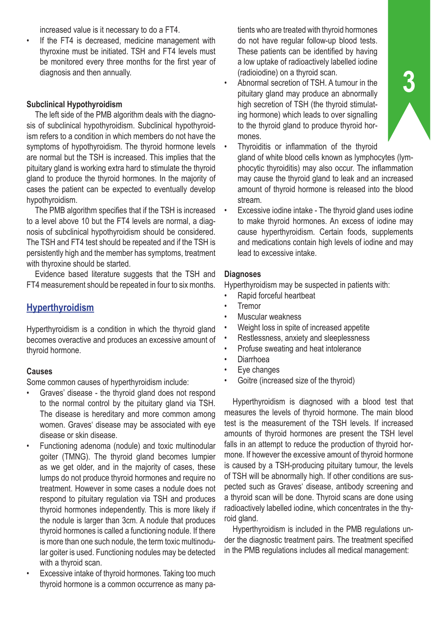increased value is it necessary to do a FT4.

If the FT4 is decreased, medicine management with thyroxine must be initiated. TSH and FT4 levels must be monitored every three months for the first year of diagnosis and then annually.

#### **Subclinical Hypothyroidism**

The left side of the PMB algorithm deals with the diagnosis of subclinical hypothyroidism. Subclinical hypothyroidism refers to a condition in which members do not have the symptoms of hypothyroidism. The thyroid hormone levels are normal but the TSH is increased. This implies that the pituitary gland is working extra hard to stimulate the thyroid gland to produce the thyroid hormones. In the majority of cases the patient can be expected to eventually develop hypothyroidism.

The PMB algorithm specifies that if the TSH is increased to a level above 10 but the FT4 levels are normal, a diagnosis of subclinical hypothyroidism should be considered. The TSH and FT4 test should be repeated and if the TSH is persistently high and the member has symptoms, treatment with thyroxine should be started.

Evidence based literature suggests that the TSH and FT4 measurement should be repeated in four to six months.

## **Hyperthyroidism**

Hyperthyroidism is a condition in which the thyroid gland becomes overactive and produces an excessive amount of thyroid hormone.

### **Causes**

Some common causes of hyperthyroidism include:

- Graves' disease the thyroid gland does not respond to the normal control by the pituitary gland via TSH. The disease is hereditary and more common among women. Graves' disease may be associated with eye disease or skin disease.
- Functioning adenoma (nodule) and toxic multinodular goiter (TMNG). The thyroid gland becomes lumpier as we get older, and in the majority of cases, these lumps do not produce thyroid hormones and require no treatment. However in some cases a nodule does not respond to pituitary regulation via TSH and produces thyroid hormones independently. This is more likely if the nodule is larger than 3cm. A nodule that produces thyroid hormones is called a functioning nodule. If there is more than one such nodule, the term toxic multinodular goiter is used. Functioning nodules may be detected with a thyroid scan.
- Excessive intake of thyroid hormones. Taking too much thyroid hormone is a common occurrence as many pa-

tients who are treated with thyroid hormones do not have regular follow-up blood tests. These patients can be identified by having a low uptake of radioactively labelled iodine (radioiodine) on a thyroid scan.

- Abnormal secretion of TSH. A tumour in the pituitary gland may produce an abnormally high secretion of TSH (the thyroid stimulating hormone) which leads to over signalling to the thyroid gland to produce thyroid hormones.
- Thyroiditis or inflammation of the thyroid gland of white blood cells known as lymphocytes (lymphocytic thyroiditis) may also occur. The inflammation may cause the thyroid gland to leak and an increased amount of thyroid hormone is released into the blood stream.
- Excessive iodine intake The thyroid gland uses iodine to make thyroid hormones. An excess of iodine may cause hyperthyroidism. Certain foods, supplements and medications contain high levels of iodine and may lead to excessive intake.

#### **Diagnoses**

Hyperthyroidism may be suspected in patients with:

- Rapid forceful heartbeat
- **Tremor**
- Muscular weakness
- Weight loss in spite of increased appetite
- Restlessness, anxiety and sleeplessness
- Profuse sweating and heat intolerance
- Diarrhoea
- Eye changes
- Goitre (increased size of the thyroid)

Hyperthyroidism is diagnosed with a blood test that measures the levels of thyroid hormone. The main blood test is the measurement of the TSH levels. If increased amounts of thyroid hormones are present the TSH level falls in an attempt to reduce the production of thyroid hormone. If however the excessive amount of thyroid hormone is caused by a TSH-producing pituitary tumour, the levels of TSH will be abnormally high. If other conditions are suspected such as Graves' disease, antibody screening and a thyroid scan will be done. Thyroid scans are done using radioactively labelled iodine, which concentrates in the thyroid gland.

Hyperthyroidism is included in the PMB regulations under the diagnostic treatment pairs. The treatment specified in the PMB regulations includes all medical management: